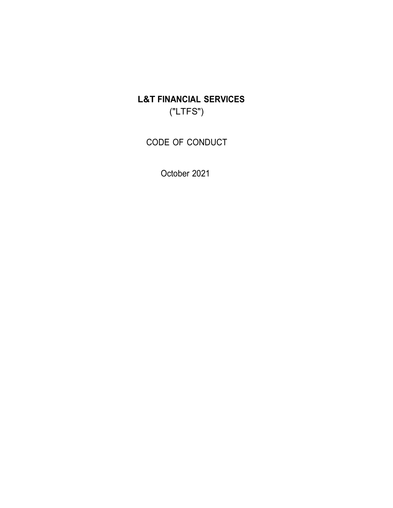L&T FINANCIAL SERVICES ("LTFS")

CODE OF CONDUCT

October 2021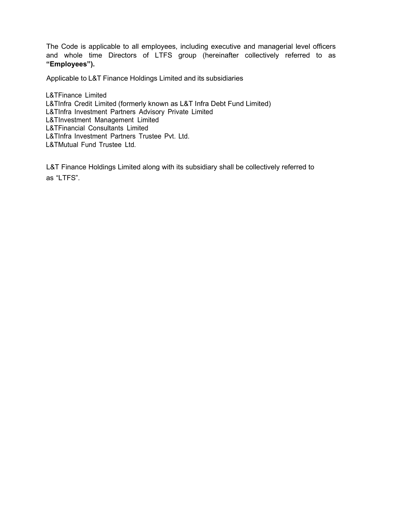The Code is applicable to all employees, including executive and managerial level officers and whole time Directors of LTFS group (hereinafter collectively referred to as "Employees").

Applicable to L&T Finance Holdings Limited and its subsidiaries

L&TFinance Limited L&TInfra Credit Limited (formerly known as L&T Infra Debt Fund Limited) L&TInfra Investment Partners Advisory Private Limited L&TInvestment Management Limited L&TFinancial Consultants Limited L&TInfra Investment Partners Trustee Pvt. Ltd. L&TMutual Fund Trustee Ltd.

L&T Finance Holdings Limited along with its subsidiary shall be collectively referred to as "LTFS".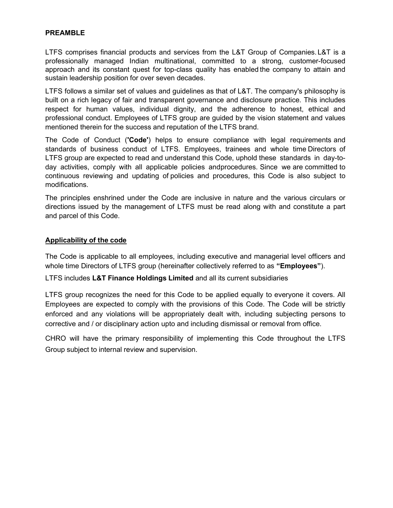#### PREAMBLE

LTFS comprises financial products and services from the L&T Group of Companies. L&T is a professionally managed Indian multinational, committed to a strong, customer-focused approach and its constant quest for top-class quality has enabled the company to attain and sustain leadership position for over seven decades.

LTFS follows a similar set of values and guidelines as that of L&T. The company's philosophy is built on a rich legacy of fair and transparent governance and disclosure practice. This includes respect for human values, individual dignity, and the adherence to honest, ethical and professional conduct. Employees of LTFS group are guided by the vision statement and values mentioned therein for the success and reputation of the LTFS brand.

The Code of Conduct ('Code') helps to ensure compliance with legal requirements and standards of business conduct of LTFS. Employees, trainees and whole time Directors of LTFS group are expected to read and understand this Code, uphold these standards in day-today activities, comply with all applicable policies and procedures. Since we are committed to continuous reviewing and updating of policies and procedures, this Code is also subject to modifications.

The principles enshrined under the Code are inclusive in nature and the various circulars or directions issued by the management of LTFS must be read along with and constitute a part and parcel of this Code.

#### Applicability of the code

The Code is applicable to all employees, including executive and managerial level officers and whole time Directors of LTFS group (hereinafter collectively referred to as "Employees").

LTFS includes L&T Finance Holdings Limited and all its current subsidiaries

LTFS group recognizes the need for this Code to be applied equally to everyone it covers. All Employees are expected to comply with the provisions of this Code. The Code will be strictly enforced and any violations will be appropriately dealt with, including subjecting persons to corrective and / or disciplinary action upto and including dismissal or removal from office.

CHRO will have the primary responsibility of implementing this Code throughout the LTFS Group subject to internal review and supervision.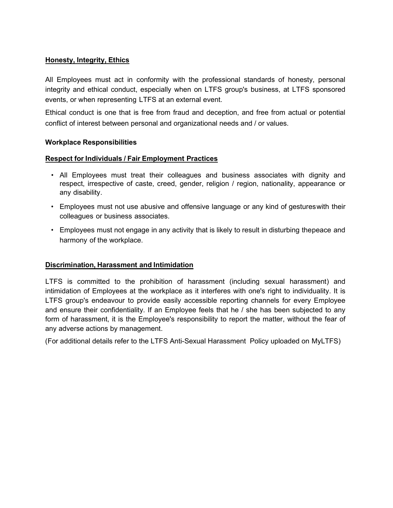## Honesty, Integrity, Ethics

All Employees must act in conformity with the professional standards of honesty, personal integrity and ethical conduct, especially when on LTFS group's business, at LTFS sponsored events, or when representing LTFS at an external event.

Ethical conduct is one that is free from fraud and deception, and free from actual or potential conflict of interest between personal and organizational needs and / or values.

#### Workplace Responsibilities

#### Respect for Individuals / Fair Employment Practices

- All Employees must treat their colleagues and business associates with dignity and respect, irrespective of caste, creed, gender, religion / region, nationality, appearance or any disability.
- Employees must not use abusive and offensive language or any kind of gestures with their colleagues or business associates.
- Employees must not engage in any activity that is likely to result in disturbing the peace and harmony of the workplace.

#### Discrimination, Harassment and Intimidation

LTFS is committed to the prohibition of harassment (including sexual harassment) and intimidation of Employees at the workplace as it interferes with one's right to individuality. It is LTFS group's endeavour to provide easily accessible reporting channels for every Employee and ensure their confidentiality. If an Employee feels that he / she has been subjected to any form of harassment, it is the Employee's responsibility to report the matter, without the fear of any adverse actions by management.

(For additional details refer to the LTFS Anti-Sexual Harassment Policy uploaded on MyLTFS)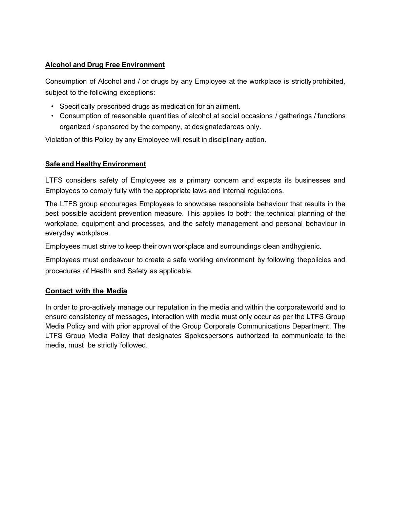## Alcohol and Drug Free Environment

Consumption of Alcohol and / or drugs by any Employee at the workplace is strictly prohibited, subject to the following exceptions:

- Specifically prescribed drugs as medication for an ailment.
- Consumption of reasonable quantities of alcohol at social occasions / gatherings / functions organized / sponsored by the company, at designatedareas only.

Violation of this Policy by any Employee will result in disciplinary action.

# Safe and Healthy Environment

LTFS considers safety of Employees as a primary concern and expects its businesses and Employees to comply fully with the appropriate laws and internal regulations.

The LTFS group encourages Employees to showcase responsible behaviour that results in the best possible accident prevention measure. This applies to both: the technical planning of the workplace, equipment and processes, and the safety management and personal behaviour in everyday workplace.

Employees must strive to keep their own workplace and surroundings clean and hygienic.

Employees must endeavour to create a safe working environment by following thepolicies and procedures of Health and Safety as applicable.

# Contact with the Media

In order to pro-actively manage our reputation in the media and within the corporate world and to ensure consistency of messages, interaction with media must only occur as per the LTFS Group Media Policy and with prior approval of the Group Corporate Communications Department. The LTFS Group Media Policy that designates Spokespersons authorized to communicate to the media, must be strictly followed.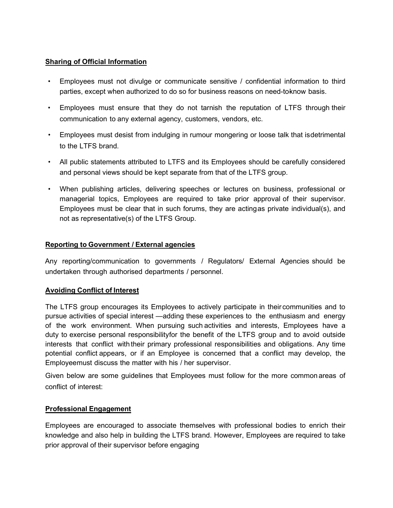## Sharing of Official Information

- Employees must not divulge or communicate sensitive / confidential information to third parties, except when authorized to do so for business reasons on need-toknow basis.
- Employees must ensure that they do not tarnish the reputation of LTFS through their communication to any external agency, customers, vendors, etc.
- Employees must desist from indulging in rumour mongering or loose talk that is detrimental to the LTFS brand.
- All public statements attributed to LTFS and its Employees should be carefully considered and personal views should be kept separate from that of the LTFS group.
- When publishing articles, delivering speeches or lectures on business, professional or managerial topics, Employees are required to take prior approval of their supervisor. Employees must be clear that in such forums, they are acting as private individual(s), and not as representative(s) of the LTFS Group.

# Reporting to Government / External agencies

Any reporting/communication to governments / Regulators/ External Agencies should be undertaken through authorised departments / personnel.

## Avoiding Conflict of Interest

The LTFS group encourages its Employees to actively participate in their communities and to pursue activities of special interest —adding these experiences to the enthusiasm and energy of the work environment. When pursuing such activities and interests, Employees have a duty to exercise personal responsibility for the benefit of the LTFS group and to avoid outside interests that conflict with their primary professional responsibilities and obligations. Any time potential conflict appears, or if an Employee is concerned that a conflict may develop, the Employeemust discuss the matter with his / her supervisor.

Given below are some guidelines that Employees must follow for the more common areas of conflict of interest:

## Professional Engagement

Employees are encouraged to associate themselves with professional bodies to enrich their knowledge and also help in building the LTFS brand. However, Employees are required to take prior approval of their supervisor before engaging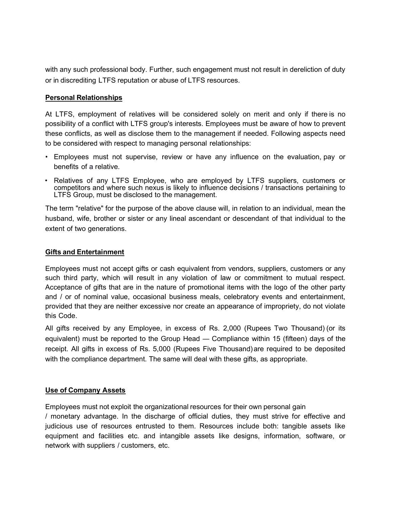with any such professional body. Further, such engagement must not result in dereliction of duty or in discrediting LTFS reputation or abuse of LTFS resources.

### Personal Relationships

At LTFS, employment of relatives will be considered solely on merit and only if there is no possibility of a conflict with LTFS group's interests. Employees must be aware of how to prevent these conflicts, as well as disclose them to the management if needed. Following aspects need to be considered with respect to managing personal relationships:

- Employees must not supervise, review or have any influence on the evaluation, pay or benefits of a relative.
- Relatives of any LTFS Employee, who are employed by LTFS suppliers, customers or competitors and where such nexus is likely to influence decisions / transactions pertaining to LTFS Group, must be disclosed to the management.

The term "relative" for the purpose of the above clause will, in relation to an individual, mean the husband, wife, brother or sister or any lineal ascendant or descendant of that individual to the extent of two generations.

#### Gifts and Entertainment

Employees must not accept gifts or cash equivalent from vendors, suppliers, customers or any such third party, which will result in any violation of law or commitment to mutual respect. Acceptance of gifts that are in the nature of promotional items with the logo of the other party and / or of nominal value, occasional business meals, celebratory events and entertainment, provided that they are neither excessive nor create an appearance of impropriety, do not violate this Code.

All gifts received by any Employee, in excess of Rs. 2,000 (Rupees Two Thousand) (or its equivalent) must be reported to the Group Head — Compliance within 15 (fifteen) days of the receipt. All gifts in excess of Rs. 5,000 (Rupees Five Thousand) are required to be deposited with the compliance department. The same will deal with these gifts, as appropriate.

#### Use of Company Assets

Employees must not exploit the organizational resources for their own personal gain

/ monetary advantage. In the discharge of official duties, they must strive for effective and judicious use of resources entrusted to them. Resources include both: tangible assets like equipment and facilities etc. and intangible assets like designs, information, software, or network with suppliers / customers, etc.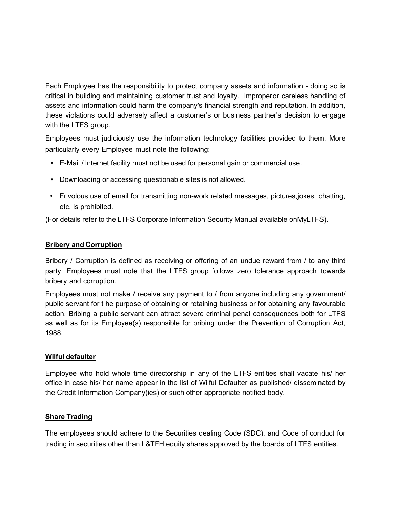Each Employee has the responsibility to protect company assets and information - doing so is critical in building and maintaining customer trust and loyalty. Improperor careless handling of assets and information could harm the company's financial strength and reputation. In addition, these violations could adversely affect a customer's or business partner's decision to engage with the LTFS group.

Employees must judiciously use the information technology facilities provided to them. More particularly every Employee must note the following:

- E-Mail / Internet facility must not be used for personal gain or commercial use.
- Downloading or accessing questionable sites is not allowed.
- Frivolous use of email for transmitting non-work related messages, pictures, jokes, chatting, etc. is prohibited.

(For details refer to the LTFS Corporate Information Security Manual available on MyLTFS).

## Bribery and Corruption

Bribery / Corruption is defined as receiving or offering of an undue reward from / to any third party. Employees must note that the LTFS group follows zero tolerance approach towards bribery and corruption.

Employees must not make / receive any payment to / from anyone including any government/ public servant for t he purpose of obtaining or retaining business or for obtaining any favourable action. Bribing a public servant can attract severe criminal penal consequences both for LTFS as well as for its Employee(s) responsible for bribing under the Prevention of Corruption Act, 1988.

## Wilful defaulter

Employee who hold whole time directorship in any of the LTFS entities shall vacate his/ her office in case his/ her name appear in the list of Wilful Defaulter as published/ disseminated by the Credit Information Company(ies) or such other appropriate notified body.

#### Share Trading

The employees should adhere to the Securities dealing Code (SDC), and Code of conduct for trading in securities other than L&TFH equity shares approved by the boards of LTFS entities.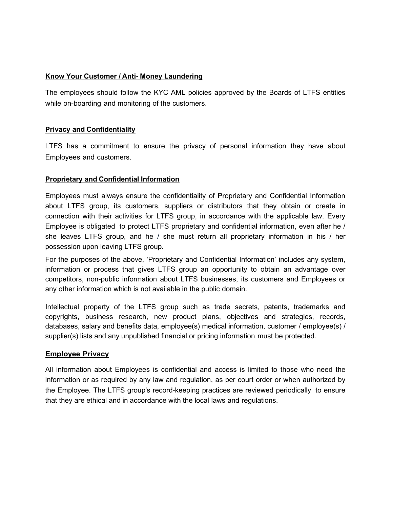### Know Your Customer / Anti- Money Laundering

The employees should follow the KYC AML policies approved by the Boards of LTFS entities while on-boarding and monitoring of the customers.

### Privacy and Confidentiality

LTFS has a commitment to ensure the privacy of personal information they have about Employees and customers.

### Proprietary and Confidential Information

Employees must always ensure the confidentiality of Proprietary and Confidential Information about LTFS group, its customers, suppliers or distributors that they obtain or create in connection with their activities for LTFS group, in accordance with the applicable law. Every Employee is obligated to protect LTFS proprietary and confidential information, even after he / she leaves LTFS group, and he / she must return all proprietary information in his / her possession upon leaving LTFS group.

For the purposes of the above, 'Proprietary and Confidential Information' includes any system, information or process that gives LTFS group an opportunity to obtain an advantage over competitors, non-public information about LTFS businesses, its customers and Employees or any other information which is not available in the public domain.

Intellectual property of the LTFS group such as trade secrets, patents, trademarks and copyrights, business research, new product plans, objectives and strategies, records, databases, salary and benefits data, employee(s) medical information, customer / employee(s) / supplier(s) lists and any unpublished financial or pricing information must be protected.

#### Employee Privacy

All information about Employees is confidential and access is limited to those who need the information or as required by any law and regulation, as per court order or when authorized by the Employee. The LTFS group's record-keeping practices are reviewed periodically to ensure that they are ethical and in accordance with the local laws and regulations.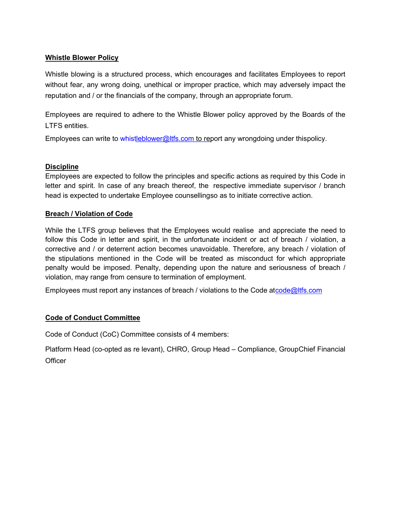### Whistle Blower Policy

Whistle blowing is a structured process, which encourages and facilitates Employees to report without fear, any wrong doing, unethical or improper practice, which may adversely impact the reputation and / or the financials of the company, through an appropriate forum.

Employees are required to adhere to the Whistle Blower policy approved by the Boards of the LTFS entities.

Employees can write to whistleblower@ltfs.com to report any wrongdoing under thispolicy.

### **Discipline**

Employees are expected to follow the principles and specific actions as required by this Code in letter and spirit. In case of any breach thereof, the respective immediate supervisor / branch head is expected to undertake Employee counselling so as to initiate corrective action.

### Breach / Violation of Code

While the LTFS group believes that the Employees would realise and appreciate the need to follow this Code in letter and spirit, in the unfortunate incident or act of breach / violation, a corrective and / or deterrent action becomes unavoidable. Therefore, any breach / violation of the stipulations mentioned in the Code will be treated as misconduct for which appropriate penalty would be imposed. Penalty, depending upon the nature and seriousness of breach / violation, may range from censure to termination of employment.

Employees must report any instances of breach / violations to the Code at code@ltfs.com

## Code of Conduct Committee

Code of Conduct (CoC) Committee consists of 4 members:

Platform Head (co-opted as re levant), CHRO, Group Head – Compliance, Group Chief Financial **Officer**